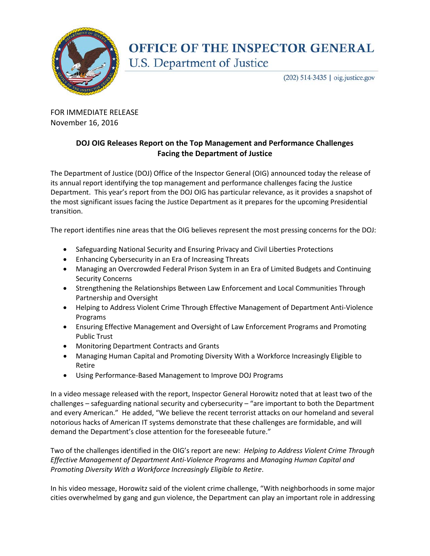

## OFFICE OF THE INSPECTOR GENERAL U.S. Department of Justice

(202) 514-3435 | oig.justice.gov

FOR IMMEDIATE RELEASE November 16, 2016

## **DOJ OIG Releases Report on the Top Management and Performance Challenges Facing the Department of Justice**

The Department of Justice (DOJ) Office of the Inspector General (OIG) announced today the release of its annual report identifying the top management and performance challenges facing the Justice Department. This year's report from the DOJ OIG has particular relevance, as it provides a snapshot of the most significant issues facing the Justice Department as it prepares for the upcoming Presidential transition.

The report identifies nine areas that the OIG believes represent the most pressing concerns for the DOJ:

- Safeguarding National Security and Ensuring Privacy and Civil Liberties Protections
- Enhancing Cybersecurity in an Era of Increasing Threats
- Managing an Overcrowded Federal Prison System in an Era of Limited Budgets and Continuing Security Concerns
- Strengthening the Relationships Between Law Enforcement and Local Communities Through Partnership and Oversight
- Helping to Address Violent Crime Through Effective Management of Department Anti-Violence Programs
- Ensuring Effective Management and Oversight of Law Enforcement Programs and Promoting Public Trust
- Monitoring Department Contracts and Grants
- Managing Human Capital and Promoting Diversity With a Workforce Increasingly Eligible to Retire
- Using Performance-Based Management to Improve DOJ Programs

In a video message released with the report, Inspector General Horowitz noted that at least two of the challenges – safeguarding national security and cybersecurity – "are important to both the Department and every American." He added, "We believe the recent terrorist attacks on our homeland and several notorious hacks of American IT systems demonstrate that these challenges are formidable, and will demand the Department's close attention for the foreseeable future."

Two of the challenges identified in the OIG's report are new: *Helping to Address Violent Crime Through Effective Management of Department Anti-Violence Programs* and *Managing Human Capital and Promoting Diversity With a Workforce Increasingly Eligible to Retire*.

In his video message, Horowitz said of the violent crime challenge, "With neighborhoods in some major cities overwhelmed by gang and gun violence, the Department can play an important role in addressing